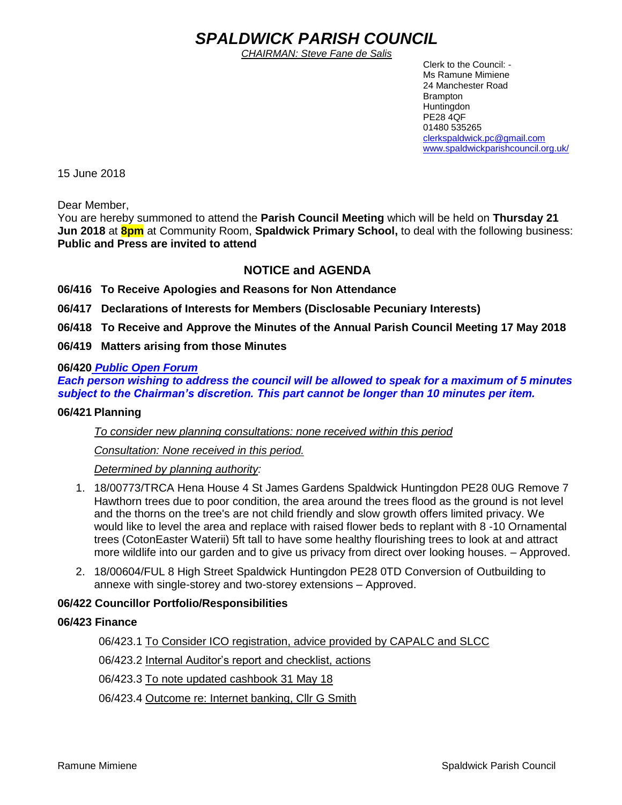# *SPALDWICK PARISH COUNCIL*

*CHAIRMAN: Steve Fane de Salis*

 Clerk to the Council: - Ms Ramune Mimiene 24 Manchester Road Brampton **Huntingdon** PE28 4QF 01480 535265 [clerkspaldwick.pc@gmail.com](mailto:clerkspaldwick.pc@gmail.com) [www.spaldwickparishcouncil.org.uk/](http://www.spaldwickparishcouncil.org.uk/)

15 June 2018

Dear Member,

You are hereby summoned to attend the **Parish Council Meeting** which will be held on **Thursday 21 Jun 2018** at **8pm** at Community Room, **Spaldwick Primary School,** to deal with the following business: **Public and Press are invited to attend**

# **NOTICE and AGENDA**

- **06/416 To Receive Apologies and Reasons for Non Attendance**
- **06/417 Declarations of Interests for Members (Disclosable Pecuniary Interests)**
- **06/418 To Receive and Approve the Minutes of the Annual Parish Council Meeting 17 May 2018**
- **06/419 Matters arising from those Minutes**

#### **06/420** *Public Open Forum*

*Each person wishing to address the council will be allowed to speak for a maximum of 5 minutes subject to the Chairman's discretion. This part cannot be longer than 10 minutes per item.* 

#### **06/421 Planning**

*To consider new planning consultations: none received within this period*

*Consultation: None received in this period.*

*Determined by planning authority:*

- 1. 18/00773/TRCA Hena House 4 St James Gardens Spaldwick Huntingdon PE28 0UG Remove 7 Hawthorn trees due to poor condition, the area around the trees flood as the ground is not level and the thorns on the tree's are not child friendly and slow growth offers limited privacy. We would like to level the area and replace with raised flower beds to replant with 8 -10 Ornamental trees (CotonEaster Waterii) 5ft tall to have some healthy flourishing trees to look at and attract more wildlife into our garden and to give us privacy from direct over looking houses. – Approved.
- 2. 18/00604/FUL 8 High Street Spaldwick Huntingdon PE28 0TD Conversion of Outbuilding to annexe with single-storey and two-storey extensions – Approved.

#### **06/422 Councillor Portfolio/Responsibilities**

#### **06/423 Finance**

06/423.1 To Consider ICO registration, advice provided by CAPALC and SLCC

06/423.2 Internal Auditor's report and checklist, actions

06/423.3 To note updated cashbook 31 May 18

06/423.4 Outcome re: Internet banking, Cllr G Smith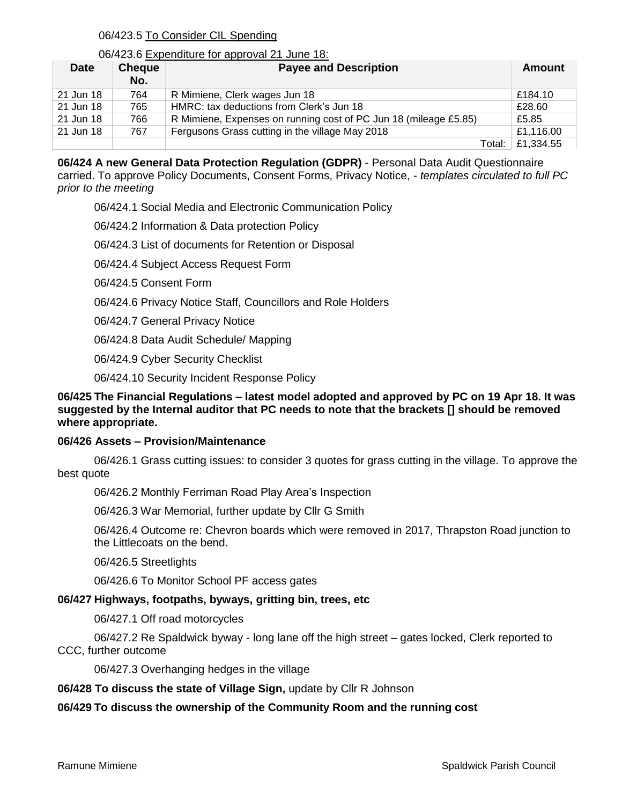# 06/423.5 To Consider CIL Spending

#### 06/423.6 Expenditure for approval 21 June 18:

| <b>Date</b> | <b>Cheque</b><br>No. | <b>Payee and Description</b>                                     | Amount    |
|-------------|----------------------|------------------------------------------------------------------|-----------|
| 21 Jun 18   | 764                  | R Mimiene, Clerk wages Jun 18                                    | £184.10   |
| 21 Jun 18   | 765                  | HMRC: tax deductions from Clerk's Jun 18                         | £28.60    |
| 21 Jun 18   | 766                  | R Mimiene, Expenses on running cost of PC Jun 18 (mileage £5.85) | £5.85     |
| 21 Jun 18   | 767                  | Fergusons Grass cutting in the village May 2018                  | £1,116.00 |
|             |                      | Total:                                                           | £1,334.55 |

**06/424 A new General Data Protection Regulation (GDPR)** - Personal Data Audit Questionnaire carried. To approve Policy Documents, Consent Forms, Privacy Notice, - *templates circulated to full PC prior to the meeting*

06/424.1 Social Media and Electronic Communication Policy

06/424.2 Information & Data protection Policy

06/424.3 List of documents for Retention or Disposal

06/424.4 Subject Access Request Form

06/424.5 Consent Form

06/424.6 Privacy Notice Staff, Councillors and Role Holders

06/424.7 General Privacy Notice

06/424.8 Data Audit Schedule/ Mapping

06/424.9 Cyber Security Checklist

06/424.10 Security Incident Response Policy

## **06/425 The Financial Regulations – latest model adopted and approved by PC on 19 Apr 18. It was suggested by the Internal auditor that PC needs to note that the brackets [] should be removed where appropriate.**

#### **06/426 Assets – Provision/Maintenance**

06/426.1 Grass cutting issues: to consider 3 quotes for grass cutting in the village. To approve the best quote

06/426.2 Monthly Ferriman Road Play Area's Inspection

06/426.3 War Memorial, further update by Cllr G Smith

06/426.4 Outcome re: Chevron boards which were removed in 2017, Thrapston Road junction to the Littlecoats on the bend.

06/426.5 Streetlights

06/426.6 To Monitor School PF access gates

#### **06/427 Highways, footpaths, byways, gritting bin, trees, etc**

06/427.1 Off road motorcycles

06/427.2 Re Spaldwick byway - long lane off the high street – gates locked, Clerk reported to CCC, further outcome

06/427.3 Overhanging hedges in the village

#### **06/428 To discuss the state of Village Sign,** update by Cllr R Johnson

# **06/429 To discuss the ownership of the Community Room and the running cost**